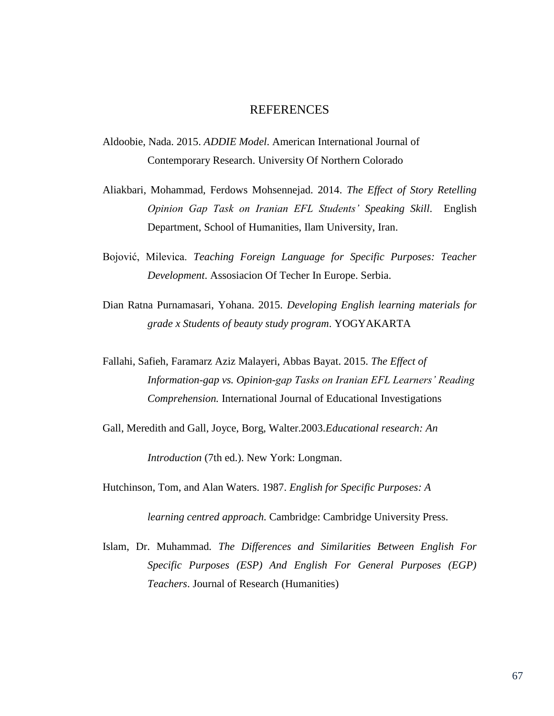## **REFERENCES**

- Aldoobie, Nada. 2015. *ADDIE Model*. American International Journal of Contemporary Research. University Of Northern Colorado
- Aliakbari, Mohammad, Ferdows Mohsennejad. 2014. *The Effect of Story Retelling Opinion Gap Task on Iranian EFL Students' Speaking Skill*. English Department, School of Humanities, Ilam University, Iran.
- Bojović, Milevica. *Teaching Foreign Language for Specific Purposes: Teacher Development*. Assosiacion Of Techer In Europe. Serbia.
- Dian Ratna Purnamasari, Yohana. 2015. *Developing English learning materials for grade x Students of beauty study program*. YOGYAKARTA
- Fallahi, Safieh, Faramarz Aziz Malayeri, Abbas Bayat. 2015. *The Effect of Information-gap vs. Opinion-gap Tasks on Iranian EFL Learners' Reading Comprehension.* International Journal of Educational Investigations
- Gall, Meredith and Gall, Joyce, Borg, Walter.2003.*Educational research: An*

*Introduction* (7th ed.). New York: Longman.

Hutchinson, Tom, and Alan Waters. 1987. *English for Specific Purposes: A*

*learning centred approach.* Cambridge: Cambridge University Press.

Islam, Dr. Muhammad*. The Differences and Similarities Between English For Specific Purposes (ESP) And English For General Purposes (EGP) Teachers*. Journal of Research (Humanities)